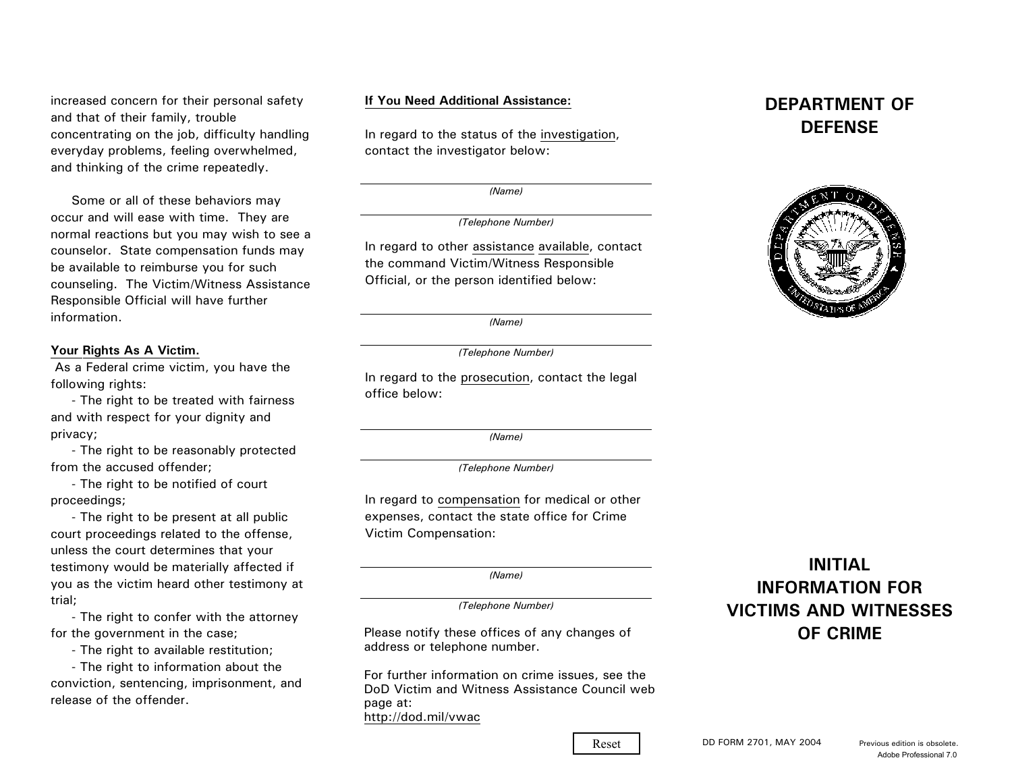increased concern for their personal safety and that of their family, trouble concentrating on the job, difficulty handling everyday problems, feeling overwhelmed, and thinking of the crime repeatedly.

 Some or all of these behaviors may occur and will ease with time. They are normal reactions but you may wish to see a counselor. State compensation funds may be available to reimburse you for such counseling. The Victim/Witness Assistance Responsible Official will have further information.

### **Your Rights As A Victim.**

 As a Federal crime victim, you have the following rights:

 - The right to be treated with fairness and with respect for your dignity and privacy;

 - The right to be reasonably protected from the accused offender;

 - The right to be notified of court proceedings;

 - The right to be present at all public court proceedings related to the offense, unless the court determines that your testimony would be materially affected if you as the victim heard other testimony at trial;

 - The right to confer with the attorney for the government in the case;

- The right to available restitution;

 - The right to information about the conviction, sentencing, imprisonment, and release of the offender.

### **If You Need Additional Assistance:**

In regard to the status of the investigation, contact the investigator below:

*(Name)*

*(Telephone Number)*

In regard to other assistance available, contact the command Victim/Witness Responsible Official, or the person identified below:

*(Name)*

#### *(Telephone Number)*

In regard to the prosecution, contact the legal office below:

*(Name)*

*(Telephone Number)*

In regard to compensation for medical or other expenses, contact the state office for Crime Victim Compensation:

*(Name)*

*(Telephone Number)*

Please notify these offices of any changes of address or telephone number.

For further information on crime issues, see the DoD Victim and Witness Assistance Council webpage at: http://dod.mil/vwac

## **DEPARTMENT OFDEFENSE**



# **INITIALINFORMATION FORVICTIMS AND WITNESSESOF CRIME**